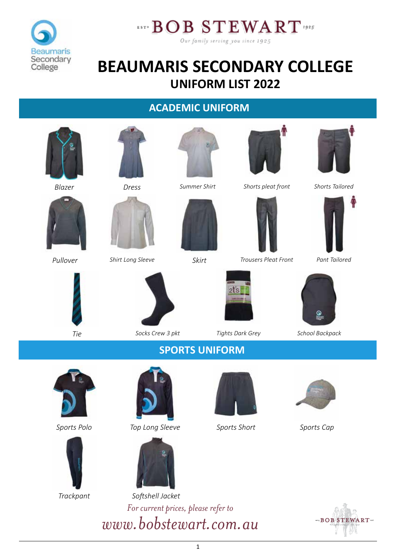



## **BEAUMARIS SECONDARY COLLEGE UNIFORM LIST 2022**

#### **ACADEMIC UNIFORM**



*Trackpant*

*For current prices, please refer to www.bobstewart.com.au Softshell Jacket*

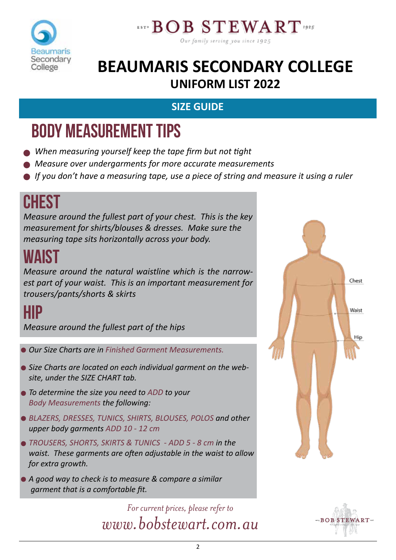



## **BEAUMARIS SECONDARY COLLEGE UNIFORM LIST 2022**

### **SIZE GUIDE**

# BODY MEASUREMENT TIPS

- *When measuring yourself keep the tape firm but not tight*
- *Measure over undergarments for more accurate measurements*
- *If you don't have a measuring tape, use a piece of string and measure it using a ruler*

# **CHEST**

*Measure around the fullest part of your chest. This is the key measurement for shirts/blouses & dresses. Make sure the measuring tape sits horizontally across your body.*

# WAIST

*Measure around the natural waistline which is the narrowest part of your waist. This is an important measurement for trousers/pants/shorts & skirts*

## HIP

*Measure around the fullest part of the hips*

- *Our Size Charts are in Finished Garment Measurements.*
- *Size Charts are located on each individual garment on the website, under the SIZE CHART tab.*
- *To determine the size you need to ADD to your Body Measurements the following:*
- **BLAZERS, DRESSES, TUNICS, SHIRTS, BLOUSES, POLOS and other** *upper body garments ADD 10 - 12 cm*
- *TROUSERS, SHORTS, SKIRTS & TUNICS ADD 5 8 cm in the waist. These garments are often adjustable in the waist to allow for extra growth.*
- *A good way to check is to measure & compare a similar garment that is a comfortable fit.*

*For current prices, please refer to www.bobstewart.com.au*